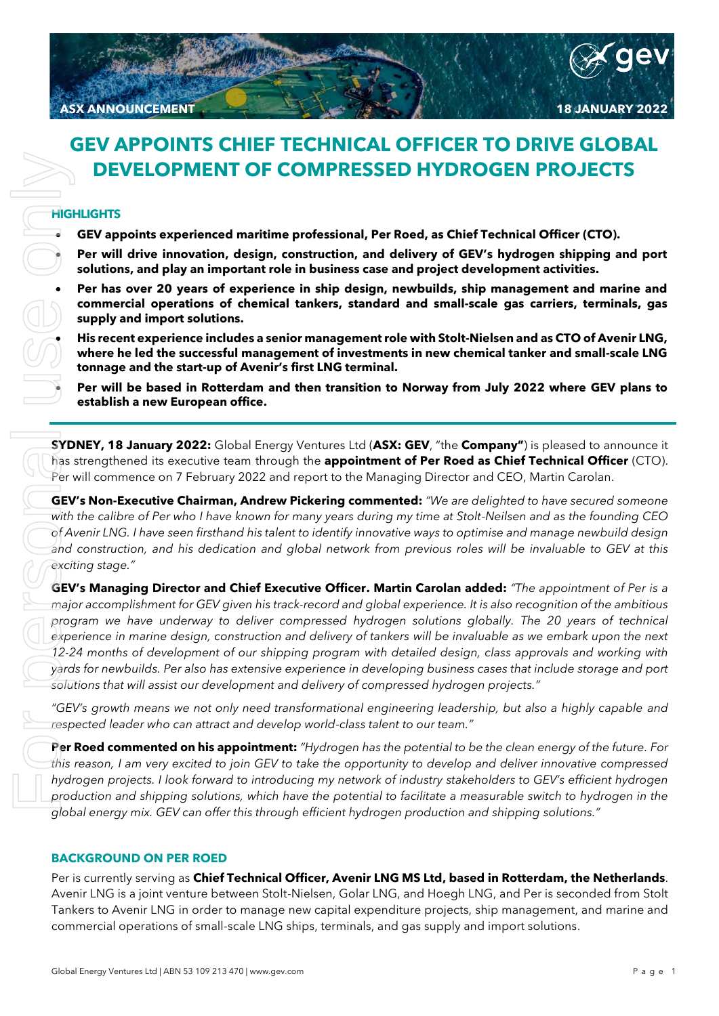# **GEV APPOINTS CHIEF TECHNICAL OFFICER TO DRIVE GLOBAL DEVELOPMENT OF COMPRESSED HYDROGEN PROJECTS**

## **HIGHLIGHTS**

- **GEV appoints experienced maritime professional, Per Roed, as Chief Technical Officer (CTO).**
- **Per will drive innovation, design, construction, and delivery of GEV's hydrogen shipping and port solutions, and play an important role in business case and project development activities.**
- **Per has over 20 years of experience in ship design, newbuilds, ship management and marine and commercial operations of chemical tankers, standard and small-scale gas carriers, terminals, gas supply and import solutions.**
	- **His recent experience includes a senior management role with Stolt-Nielsen and as CTO of Avenir LNG, where he led the successful management of investments in new chemical tanker and small-scale LNG tonnage and the start-up of Avenir's first LNG terminal.**
	- **Per will be based in Rotterdam and then transition to Norway from July 2022 where GEV plans to establish a new European office.**

**SYDNEY, 18 January 2022:** Global Energy Ventures Ltd (**ASX: GEV**, "the **Company"**) is pleased to announce it has strengthened its executive team through the **appointment of Per Roed as Chief Technical Officer** (CTO). Per will commence on 7 February 2022 and report to the Managing Director and CEO, Martin Carolan.

**GEV's Non-Executive Chairman, Andrew Pickering commented:** *"We are delighted to have secured someone with the calibre of Per who I have known for many years during my time at Stolt-Neilsen and as the founding CEO of Avenir LNG. I have seen firsthand his talent to identify innovative ways to optimise and manage newbuild design and construction, and his dedication and global network from previous roles will be invaluable to GEV at this exciting stage."*

**GEV's Managing Director and Chief Executive Officer. Martin Carolan added:** *"The appointment of Per is a major accomplishment for GEV given his track-record and global experience. It is also recognition of the ambitious program we have underway to deliver compressed hydrogen solutions globally. The 20 years of technical experience in marine design, construction and delivery of tankers will be invaluable as we embark upon the next 12-24 months of development of our shipping program with detailed design, class approvals and working with yards for newbuilds. Per also has extensive experience in developing business cases that include storage and port solutions that will assist our development and delivery of compressed hydrogen projects."* **CEVELOPMENT OF COMPRESSED HYDROGEN PRO.**<br>
High-literations and the compositions, the fit is the small-scale of small-scale of small-scale of small-scale of small-scale of small-scale of small-scale of small-scale only and

*"GEV's growth means we not only need transformational engineering leadership, but also a highly capable and respected leader who can attract and develop world-class talent to our team."*

**Per Roed commented on his appointment:** *"Hydrogen has the potential to be the clean energy of the future. For this reason, I am very excited to join GEV to take the opportunity to develop and deliver innovative compressed hydrogen projects. I look forward to introducing my network of industry stakeholders to GEV's efficient hydrogen production and shipping solutions, which have the potential to facilitate a measurable switch to hydrogen in the global energy mix. GEV can offer this through efficient hydrogen production and shipping solutions."*

### **BACKGROUND ON PER ROED**

Per is currently serving as **Chief Technical Officer, Avenir LNG MS Ltd, based in Rotterdam, the Netherlands**. Avenir LNG is a joint venture between Stolt-Nielsen, Golar LNG, and Hoegh LNG, and Per is seconded from Stolt Tankers to Avenir LNG in order to manage new capital expenditure projects, ship management, and marine and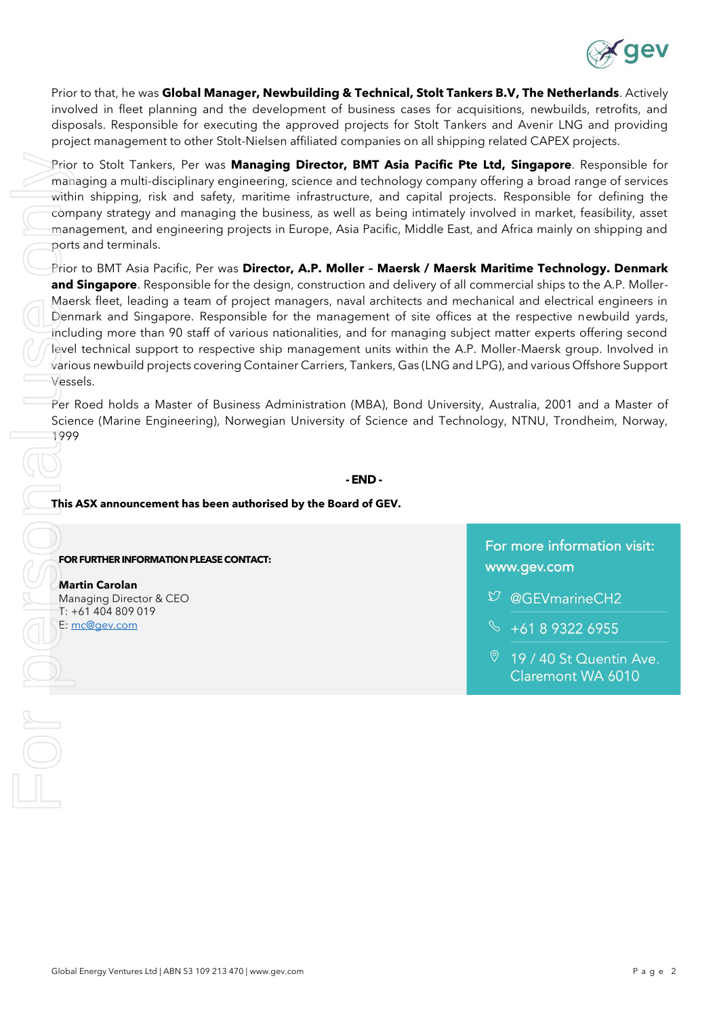

Prior to that, he was **Global Manager, Newbuilding & Technical, Stolt Tankers B.V, The Netherlands**. Actively involved in fleet planning and the development of business cases for acquisitions, newbuilds, retrofits, and disposals. Responsible for executing the approved projects for Stolt Tankers and Avenir LNG and providing project management to other Stolt-Nielsen affiliated companies on all shipping related CAPEX projects.

Prior to Stolt Tankers, Per was **Managing Director, BMT Asia Pacific Pte Ltd, Singapore**. Responsible for managing a multi-disciplinary engineering, science and technology company offering a broad range of services within shipping, risk and safety, maritime infrastructure, and capital projects. Responsible for defining the company strategy and managing the business, as well as being intimately involved in market, feasibility, asset management, and engineering projects in Europe, Asia Pacific, Middle East, and Africa mainly on shipping and ports and terminals.

Prior to BMT Asia Pacific, Per was **Director, A.P. Moller – Maersk / Maersk Maritime Technology. Denmark and Singapore**. Responsible for the design, construction and delivery of all commercial ships to the A.P. Moller-Maersk fleet, leading a team of project managers, naval architects and mechanical and electrical engineers in Denmark and Singapore. Responsible for the management of site offices at the respective newbuild yards, including more than 90 staff of various nationalities, and for managing subject matter experts offering second level technical support to respective ship management units within the A.P. Moller-Maersk group. Involved in various newbuild projects covering Container Carriers, Tankers, Gas (LNG and LPG), and various Offshore Support Vessels.

Per Roed holds a Master of Business Administration (MBA), Bond University, Australia, 2001 and a Master of Science (Marine Engineering), Norwegian University of Science and Technology, NTNU, Trondheim, Norway, 1999

**- END -**

**This ASX announcement has been authorised by the Board of GEV.**

**FOR FURTHER INFORMATION PLEASE CONTACT:**

#### **Martin Carolan** Managing Director & CEO T: +61 404 809 019 E: mc@gev.com

For more information visit: www.gev.com

- $\mathfrak{O}$  @GEVmarineCH2
- +61 8 9322 6955
- 9 19 / 40 St Quentin Ave. Claremont WA 6010